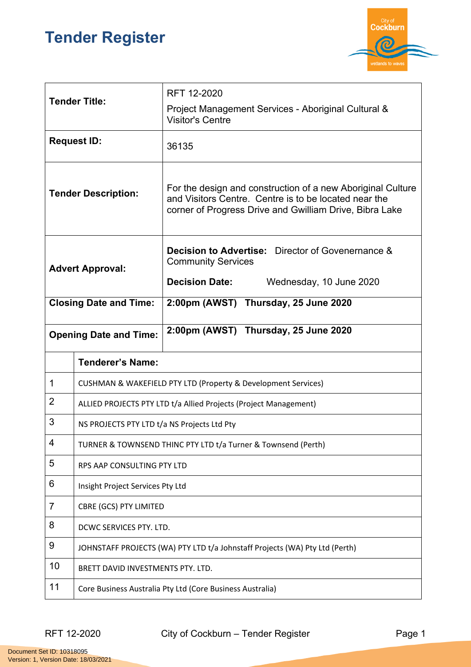## **Tender Register**



| <b>Tender Title:</b>          |                                             | RFT 12-2020                                                                                                                                                                     |  |
|-------------------------------|---------------------------------------------|---------------------------------------------------------------------------------------------------------------------------------------------------------------------------------|--|
|                               |                                             | Project Management Services - Aboriginal Cultural &<br><b>Visitor's Centre</b>                                                                                                  |  |
| <b>Request ID:</b>            |                                             | 36135                                                                                                                                                                           |  |
| <b>Tender Description:</b>    |                                             | For the design and construction of a new Aboriginal Culture<br>and Visitors Centre. Centre is to be located near the<br>corner of Progress Drive and Gwilliam Drive, Bibra Lake |  |
| <b>Advert Approval:</b>       |                                             | <b>Decision to Advertise:</b> Director of Govenernance &<br><b>Community Services</b>                                                                                           |  |
|                               |                                             | <b>Decision Date:</b><br>Wednesday, 10 June 2020                                                                                                                                |  |
| <b>Closing Date and Time:</b> |                                             | 2:00pm (AWST) Thursday, 25 June 2020                                                                                                                                            |  |
| <b>Opening Date and Time:</b> |                                             | 2:00pm (AWST) Thursday, 25 June 2020                                                                                                                                            |  |
|                               | <b>Tenderer's Name:</b>                     |                                                                                                                                                                                 |  |
|                               |                                             |                                                                                                                                                                                 |  |
| 1                             |                                             | CUSHMAN & WAKEFIELD PTY LTD (Property & Development Services)                                                                                                                   |  |
| $\overline{2}$                |                                             | ALLIED PROJECTS PTY LTD t/a Allied Projects (Project Management)                                                                                                                |  |
| 3                             | NS PROJECTS PTY LTD t/a NS Projects Ltd Pty |                                                                                                                                                                                 |  |
| 4                             |                                             | TURNER & TOWNSEND THINC PTY LTD t/a Turner & Townsend (Perth)                                                                                                                   |  |
| 5                             | RPS AAP CONSULTING PTY LTD                  |                                                                                                                                                                                 |  |
| 6                             | Insight Project Services Pty Ltd            |                                                                                                                                                                                 |  |
| 7                             | CBRE (GCS) PTY LIMITED                      |                                                                                                                                                                                 |  |
| 8                             | DCWC SERVICES PTY. LTD.                     |                                                                                                                                                                                 |  |
| 9                             |                                             | JOHNSTAFF PROJECTS (WA) PTY LTD t/a Johnstaff Projects (WA) Pty Ltd (Perth)                                                                                                     |  |
| 10                            | BRETT DAVID INVESTMENTS PTY. LTD.           |                                                                                                                                                                                 |  |